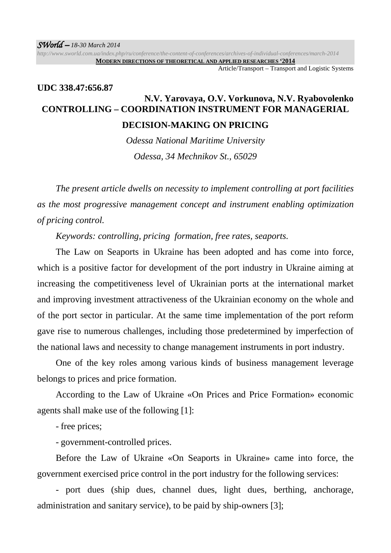*http://www.sworld.com.ua/index.php/ru/conference/the-content-of-conferences/archives-of-individual-conferences/march-2014* **MODERN DIRECTIONS OF THEORETICAL AND APPLIED RESEARCHES '2014**

Article/Transport – Transport and Logistic Systems

## **UDC 338.47:656.87 N.V. Yarovaya, O.V. Vorkunova, N.V. Ryabovolenko CONTROLLING – COORDINATION INSTRUMENT FOR MANAGERIAL**

## **DECISION-MAKING ON PRICING**

*Odessa National Maritime University Odessa, 34 Mechnikov St., 65029* 

*The present article dwells on necessity to implement controlling at port facilities as the most progressive management concept and instrument enabling optimization of pricing control.* 

*Keywords: controlling, pricing formation, free rates, seaports.* 

The Law on Seaports in Ukraine has been adopted and has come into force, which is a positive factor for development of the port industry in Ukraine aiming at increasing the competitiveness level of Ukrainian ports at the international market and improving investment attractiveness of the Ukrainian economy on the whole and of the port sector in particular. At the same time implementation of the port reform gave rise to numerous challenges, including those predetermined by imperfection of the national laws and necessity to change management instruments in port industry.

One of the key roles among various kinds of business management leverage belongs to prices and price formation.

According to the Law of Ukraine «On Prices and Price Formation» economic agents shall make use of the following [1]:

- free prices;

- government-controlled prices.

Before the Law of Ukraine «On Seaports in Ukraine» came into force, the government exercised price control in the port industry for the following services:

- port dues (ship dues, channel dues, light dues, berthing, anchorage, administration and sanitary service), to be paid by ship-owners [3];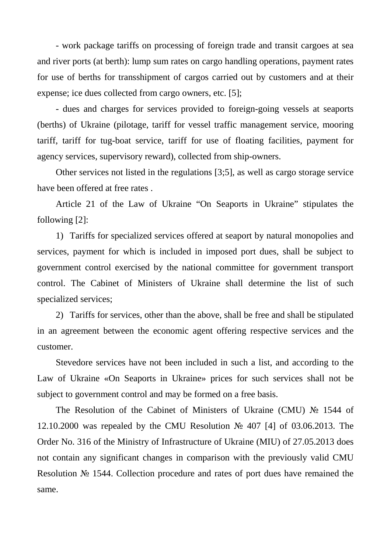- work package tariffs on processing of foreign trade and transit cargoes at sea and river ports (at berth): lump sum rates on cargo handling operations, payment rates for use of berths for transshipment of cargos carried out by customers and at their expense; ice dues collected from cargo owners, etc. [5];

- dues and charges for services provided to foreign-going vessels at seaports (berths) of Ukraine (pilotage, tariff for vessel traffic management service, mooring tariff, tariff for tug-boat service, tariff for use of floating facilities, payment for agency services, supervisory reward), collected from ship-owners.

Other services not listed in the regulations [3;5], as well as cargo storage service have been offered at free rates .

Article 21 of the Law of Ukraine "On Seaports in Ukraine" stipulates the following [2]:

1) Tariffs for specialized services offered at seaport by natural monopolies and services, payment for which is included in imposed port dues, shall be subject to government control exercised by the national committee for government transport control. The Cabinet of Ministers of Ukraine shall determine the list of such specialized services;

2) Tariffs for services, other than the above, shall be free and shall be stipulated in an agreement between the economic agent offering respective services and the customer.

Stevedore services have not been included in such a list, and according to the Law of Ukraine «On Seaports in Ukraine» prices for such services shall not be subject to government control and may be formed on a free basis.

The Resolution of the Cabinet of Ministers of Ukraine (CMU) № 1544 of 12.10.2000 was repealed by the CMU Resolution № 407 [4] of 03.06.2013. The Order No. 316 of the Ministry of Infrastructure of Ukraine (MIU) of 27.05.2013 does not contain any significant changes in comparison with the previously valid CMU Resolution № 1544. Collection procedure and rates of port dues have remained the same.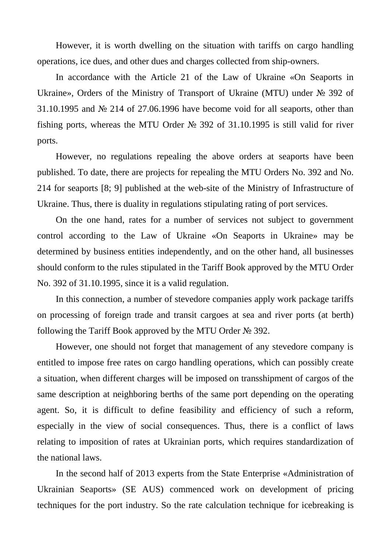However, it is worth dwelling on the situation with tariffs on cargo handling operations, ice dues, and other dues and charges collected from ship-owners.

In accordance with the Article 21 of the Law of Ukraine «On Seaports in Ukraine», Orders of the Ministry of Transport of Ukraine (MTU) under № 392 of 31.10.1995 and № 214 of 27.06.1996 have become void for all seaports, other than fishing ports, whereas the MTU Order № 392 of 31.10.1995 is still valid for river ports.

However, no regulations repealing the above orders at seaports have been published. To date, there are projects for repealing the MTU Orders No. 392 and No. 214 for seaports [8; 9] published at the web-site of the Ministry of Infrastructure of Ukraine. Thus, there is duality in regulations stipulating rating of port services.

On the one hand, rates for a number of services not subject to government control according to the Law of Ukraine «On Seaports in Ukraine» may be determined by business entities independently, and on the other hand, all businesses should conform to the rules stipulated in the Tariff Book approved by the MTU Order No. 392 of 31.10.1995, since it is a valid regulation.

In this connection, a number of stevedore companies apply work package tariffs on processing of foreign trade and transit cargoes at sea and river ports (at berth) following the Tariff Book approved by the MTU Order № 392.

However, one should not forget that management of any stevedore company is entitled to impose free rates on cargo handling operations, which can possibly create a situation, when different charges will be imposed on transshipment of cargos of the same description at neighboring berths of the same port depending on the operating agent. So, it is difficult to define feasibility and efficiency of such a reform, especially in the view of social consequences. Thus, there is a conflict of laws relating to imposition of rates at Ukrainian ports, which requires standardization of the national laws.

In the second half of 2013 experts from the State Enterprise «Administration of Ukrainian Seaports» (SE AUS) commenced work on development of pricing techniques for the port industry. So the rate calculation technique for icebreaking is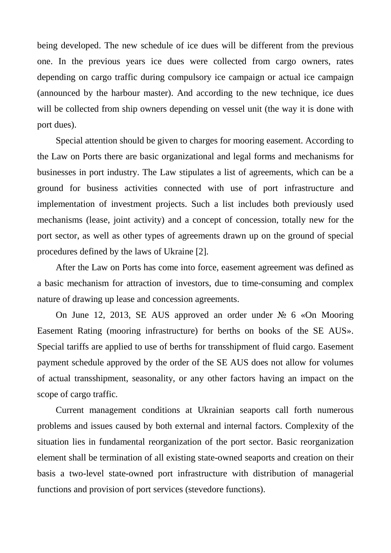being developed. The new schedule of ice dues will be different from the previous one. In the previous years ice dues were collected from cargo owners, rates depending on cargo traffic during compulsory ice campaign or actual ice campaign (announced by the harbour master). And according to the new technique, ice dues will be collected from ship owners depending on vessel unit (the way it is done with port dues).

Special attention should be given to charges for mooring easement. According to the Law on Ports there are basic organizational and legal forms and mechanisms for businesses in port industry. The Law stipulates a list of agreements, which can be a ground for business activities connected with use of port infrastructure and implementation of investment projects. Such a list includes both previously used mechanisms (lease, joint activity) and a concept of concession, totally new for the port sector, as well as other types of agreements drawn up on the ground of special procedures defined by the laws of Ukraine [2].

After the Law on Ports has come into force, easement agreement was defined as a basic mechanism for attraction of investors, due to time-consuming and complex nature of drawing up lease and concession agreements.

On June 12, 2013, SE AUS approved an order under № 6 «On Mooring Easement Rating (mooring infrastructure) for berths on books of the SE AUS». Special tariffs are applied to use of berths for transshipment of fluid cargo. Easement payment schedule approved by the order of the SE AUS does not allow for volumes of actual transshipment, seasonality, or any other factors having an impact on the scope of cargo traffic.

Current management conditions at Ukrainian seaports call forth numerous problems and issues caused by both external and internal factors. Complexity of the situation lies in fundamental reorganization of the port sector. Basic reorganization element shall be termination of all existing state-owned seaports and creation on their basis a two-level state-owned port infrastructure with distribution of managerial functions and provision of port services (stevedore functions).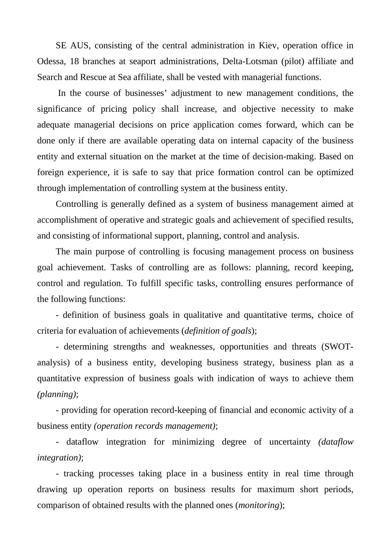SE AUS, consisting of the central administration in Kiev, operation office in Odessa, 18 branches at seaport administrations, Delta-Lotsman (pilot) affiliate and Search and Rescue at Sea affiliate, shall be vested with managerial functions.

In the course of businesses' adjustment to new management conditions, the significance of pricing policy shall increase, and objective necessity to make adequate managerial decisions on price application comes forward, which can be done only if there are available operating data on internal capacity of the business entity and external situation on the market at the time of decision-making. Based on foreign experience, it is safe to say that price formation control can be optimized through implementation of controlling system at the business entity.

Controlling is generally defined as a system of business management aimed at accomplishment of operative and strategic goals and achievement of specified results, and consisting of informational support, planning, control and analysis.

The main purpose of controlling is focusing management process on business goal achievement. Tasks of controlling are as follows: planning, record keeping, control and regulation. To fulfill specific tasks, controlling ensures performance of the following functions:

- definition of business goals in qualitative and quantitative terms, choice of criteria for evaluation of achievements (*definition of goals*);

- determining strengths and weaknesses, opportunities and threats (SWOTanalysis) of a business entity, developing business strategy, business plan as a quantitative expression of business goals with indication of ways to achieve them *(planning)*;

- providing for operation record-keeping of financial and economic activity of a business entity *(operation records management)*;

- dataflow integration for minimizing degree of uncertainty *(dataflow integration)*;

- tracking processes taking place in a business entity in real time through drawing up operation reports on business results for maximum short periods, comparison of obtained results with the planned ones (*monitoring*);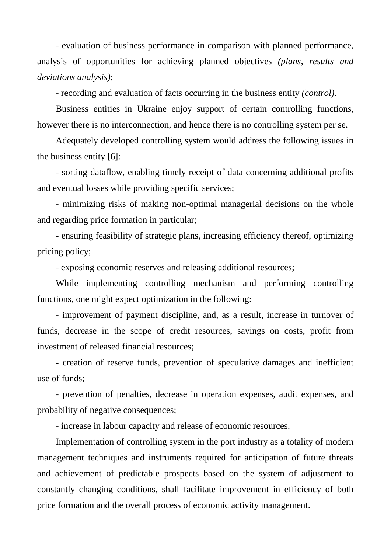- evaluation of business performance in comparison with planned performance, analysis of opportunities for achieving planned objectives *(plans, results and deviations analysis)*;

- recording and evaluation of facts occurring in the business entity *(control)*.

Business entities in Ukraine enjoy support of certain controlling functions, however there is no interconnection, and hence there is no controlling system per se.

Adequately developed controlling system would address the following issues in the business entity [6]:

- sorting dataflow, enabling timely receipt of data concerning additional profits and eventual losses while providing specific services;

- minimizing risks of making non-optimal managerial decisions on the whole and regarding price formation in particular;

- ensuring feasibility of strategic plans, increasing efficiency thereof, optimizing pricing policy;

- exposing economic reserves and releasing additional resources;

While implementing controlling mechanism and performing controlling functions, one might expect optimization in the following:

- improvement of payment discipline, and, as a result, increase in turnover of funds, decrease in the scope of credit resources, savings on costs, profit from investment of released financial resources;

- creation of reserve funds, prevention of speculative damages and inefficient use of funds;

- prevention of penalties, decrease in operation expenses, audit expenses, and probability of negative consequences;

- increase in labour capacity and release of economic resources.

Implementation of controlling system in the port industry as a totality of modern management techniques and instruments required for anticipation of future threats and achievement of predictable prospects based on the system of adjustment to constantly changing conditions, shall facilitate improvement in efficiency of both price formation and the overall process of economic activity management.